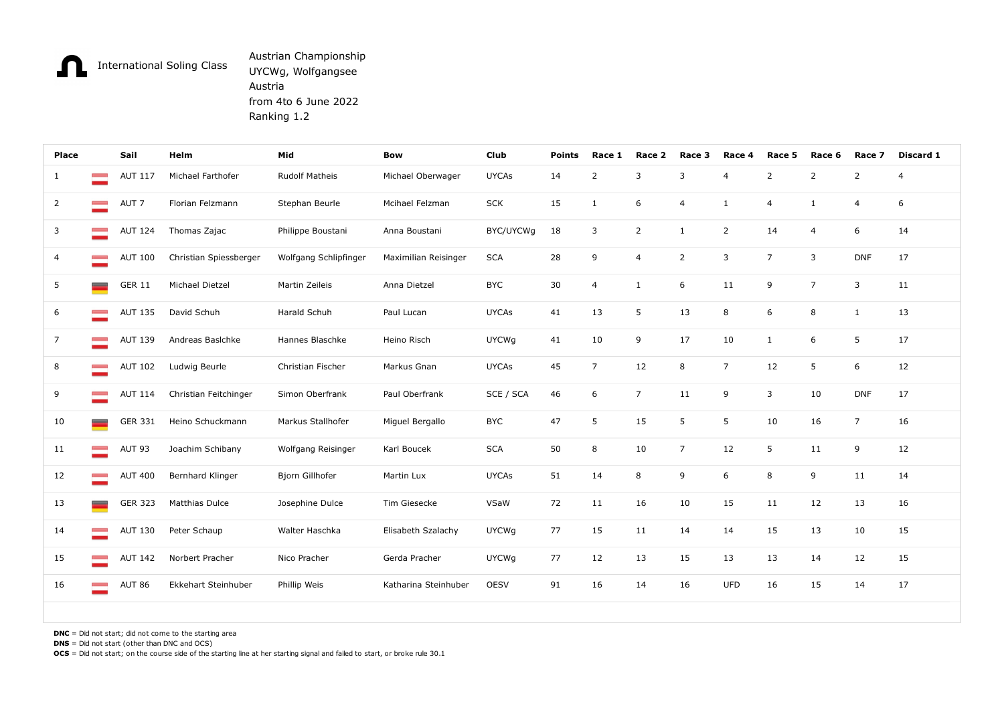## Austrian Championship UYCWg, Wolfgangsee Austria from 4to 6 June 2022 Ranking 1.2

| n              |                                                                                                            |                | <b>International Soling Class</b> | Austrian Championship<br>UYCWg, Wolfgangsee<br>Austria<br>from 4to 6 June 2022<br>Ranking 1.2 |                      |              |               |                |                         |                |                |                |                |                         |                |
|----------------|------------------------------------------------------------------------------------------------------------|----------------|-----------------------------------|-----------------------------------------------------------------------------------------------|----------------------|--------------|---------------|----------------|-------------------------|----------------|----------------|----------------|----------------|-------------------------|----------------|
| Place          |                                                                                                            | Sail           | Helm                              | Mid                                                                                           | <b>Bow</b>           | Club         | <b>Points</b> | Race 1         | Race 2                  | Race 3         | Race 4         | Race 5         | Race 6         | Race 7                  | Discard 1      |
| 1              | <b>Contract</b>                                                                                            | <b>AUT 117</b> | Michael Farthofer                 | <b>Rudolf Matheis</b>                                                                         | Michael Oberwager    | <b>UYCAs</b> | 14            | $\overline{2}$ | $\overline{\mathbf{3}}$ | 3              | $\overline{a}$ | $\overline{2}$ | $\overline{2}$ | $\overline{2}$          | $\overline{4}$ |
| $\overline{2}$ | <b>Contract</b>                                                                                            | AUT 7          | Florian Felzmann                  | Stephan Beurle                                                                                | Mcihael Felzman      | <b>SCK</b>   | 15            | 1              | 6                       | $\overline{4}$ |                | $\overline{4}$ | $\mathbf{1}$   | $\overline{4}$          | 6              |
| $\mathbf{3}$   | <b>Contract Contract</b>                                                                                   |                | AUT 124 Thomas Zajac              | Philippe Boustani                                                                             | Anna Boustani        | BYC/UYCWg    | 18            | 3              | $\overline{2}$          | 1              | $\overline{2}$ | 14             | $\overline{4}$ | 6                       | 14             |
| $\overline{4}$ | <b>Contract</b>                                                                                            | AUT 100        | Christian Spiessberger            | Wolfgang Schlipfinger                                                                         | Maximilian Reisinger | <b>SCA</b>   | 28            | 9              | $\overline{4}$          | $\overline{2}$ | $\overline{3}$ | $\overline{7}$ | $\overline{3}$ | <b>DNF</b>              | 17             |
| 5              | $\equiv$                                                                                                   | <b>GER 11</b>  | Michael Dietzel                   | Martin Zeileis                                                                                | Anna Dietzel         | <b>BYC</b>   | 30            | $\overline{4}$ | 1                       | 6              | 11             | 9              | $\overline{7}$ | $\overline{\mathbf{3}}$ | 11             |
| 6              | <b>Contract</b>                                                                                            | <b>AUT 135</b> | David Schuh                       | Harald Schuh                                                                                  | Paul Lucan           | <b>UYCAs</b> | 41            | 13             | 5                       | 13             | 8              | 6              | 8              | <sup>1</sup>            | 13             |
| $\overline{7}$ | <b>Contract</b>                                                                                            | <b>AUT 139</b> | Andreas Basichke                  | Hannes Blaschke                                                                               | Heino Risch          | <b>UYCWg</b> | 41            | 10             | 9                       | 17             | 10             | $\mathbf{1}$   | 6              | 5                       | 17             |
| 8              | <b>Common</b>                                                                                              | <b>AUT 102</b> | Ludwig Beurle                     | Christian Fischer                                                                             | Markus Gnan          | <b>UYCAs</b> | 45            | $\overline{7}$ | 12                      | 8              | $\overline{7}$ | 12             | 5              | 6                       | 12             |
| 9              | <b>Contract</b>                                                                                            | AUT 114        | Christian Feitchinger             | Simon Oberfrank                                                                               | Paul Oberfrank       | SCE / SCA    | 46            | 6              | $\overline{7}$          | 11             | 9              | $\overline{3}$ | 10             | <b>DNF</b>              | 17             |
| 10             | $\overline{\phantom{a}}$                                                                                   |                | GER 331 Heino Schuckmann          | Markus Stallhofer                                                                             | Miguel Bergallo      | <b>BYC</b>   | 47            | 5              | 15                      | 5              | 5              | 10             | 16             | $\overline{7}$          | 16             |
| 11             | <b>Contract</b>                                                                                            | AUT 93         | Joachim Schibany                  | Wolfgang Reisinger                                                                            | Karl Boucek          | <b>SCA</b>   | 50            | 8              | 10                      | $\overline{7}$ | 12             | 5 <sub>5</sub> | 11             | 9                       | 12             |
| 12             | $\sim$ 100 $\pm$                                                                                           | <b>AUT 400</b> | Bernhard Klinger                  | Bjorn Gillhofer                                                                               | Martin Lux           | <b>UYCAs</b> | 51            | 14             | 8                       | 9              | 6              | 8              | 9              | 11                      | 14             |
| 13             | $\overline{\phantom{m}}$                                                                                   | GER 323        | <b>Matthias Dulce</b>             | Josephine Dulce                                                                               | Tim Giesecke         | VSaW         | 72            | 11             | 16                      | 10             | 15             | 11             | 12             | 13                      | 16             |
| 14             | $\sim$ 100 $\pm$                                                                                           | <b>AUT 130</b> | Peter Schaup                      | Walter Haschka                                                                                | Elisabeth Szalachy   | <b>UYCWg</b> | 77            | 15             | 11                      | 14             | 14             | 15             | 13             | 10                      | 15             |
| 15             | <b>Contract</b>                                                                                            | <b>AUT 142</b> | Norbert Pracher                   | Nico Pracher                                                                                  | Gerda Pracher        | <b>UYCWg</b> | 77            | 12             | 13                      | 15             | 13             | 13             | 14             | 12                      | 15             |
| 16             | <b>Common</b>                                                                                              | AUT 86         | Ekkehart Steinhuber               | Phillip Weis                                                                                  | Katharina Steinhuber | OESV         | 91            | 16             | 14                      | 16             | <b>UFD</b>     | 16             | 15             | 14                      | 17             |
|                | $DNC = Did not start; did not come to the starting area$<br>$DNS = Did not start (other than DNC and OCS)$ |                |                                   |                                                                                               |                      |              |               |                |                         |                |                |                |                |                         |                |

OCS = Did not start; on the course side of the starting line at her starting signal and failed to start, or broke rule 30.1